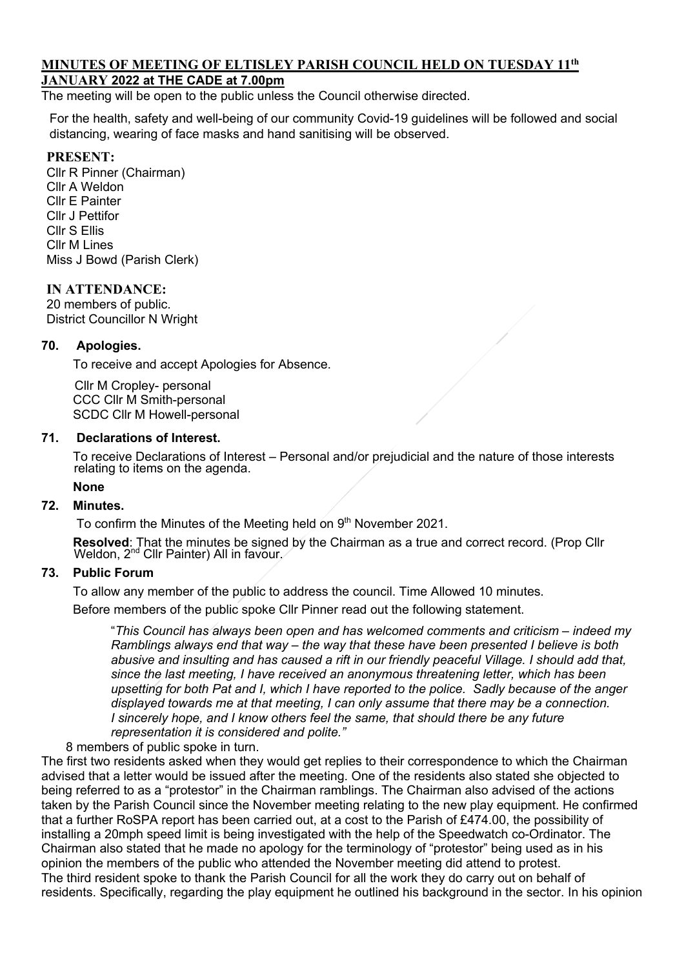# **MINUTES OF MEETING OF ELTISLEY PARISH COUNCIL HELD ON TUESDAY 11th**

# **JANUARY 2022 at THE CADE at 7.00pm**

The meeting will be open to the public unless the Council otherwise directed.

For the health, safety and well-being of our community Covid-19 guidelines will be followed and social distancing, wearing of face masks and hand sanitising will be observed.

### **PRESENT:**

Cllr R Pinner (Chairman) Cllr A Weldon Cllr E Painter Cllr J Pettifor Cllr S Ellis Cllr M Lines Miss J Bowd (Parish Clerk)

#### **IN ATTENDANCE:**

20 members of public. District Councillor N Wright

# **70. Apologies.**

To receive and accept Apologies for Absence.

 Cllr M Cropley- personal CCC Cllr M Smith-personal SCDC Cllr M Howell-personal

### **71. Declarations of Interest.**

To receive Declarations of Interest – Personal and/or prejudicial and the nature of those interests relating to items on the agenda.

#### **None**

#### **72. Minutes.**

To confirm the Minutes of the Meeting held on 9<sup>th</sup> November 2021.

**Resolved**: That the minutes be signed by the Chairman as a true and correct record. (Prop Cllr Weldon, 2<sup>nd</sup> Cllr Painter) All in favour.

# **73. Public Forum**

To allow any member of the public to address the council. Time Allowed 10 minutes.

Before members of the public spoke Cllr Pinner read out the following statement.

"*This Council has always been open and has welcomed comments and criticism – indeed my Ramblings always end that way – the way that these have been presented I believe is both abusive and insulting and has caused a rift in our friendly peaceful Village. I should add that, since the last meeting, I have received an anonymous threatening letter, which has been upsetting for both Pat and I, which I have reported to the police. Sadly because of the anger displayed towards me at that meeting, I can only assume that there may be a connection. I sincerely hope, and I know others feel the same, that should there be any future representation it is considered and polite."*

8 members of public spoke in turn.

The first two residents asked when they would get replies to their correspondence to which the Chairman advised that a letter would be issued after the meeting. One of the residents also stated she objected to being referred to as a "protestor" in the Chairman ramblings. The Chairman also advised of the actions taken by the Parish Council since the November meeting relating to the new play equipment. He confirmed that a further RoSPA report has been carried out, at a cost to the Parish of £474.00, the possibility of installing a 20mph speed limit is being investigated with the help of the Speedwatch co-Ordinator. The Chairman also stated that he made no apology for the terminology of "protestor" being used as in his opinion the members of the public who attended the November meeting did attend to protest. The third resident spoke to thank the Parish Council for all the work they do carry out on behalf of residents. Specifically, regarding the play equipment he outlined his background in the sector. In his opinion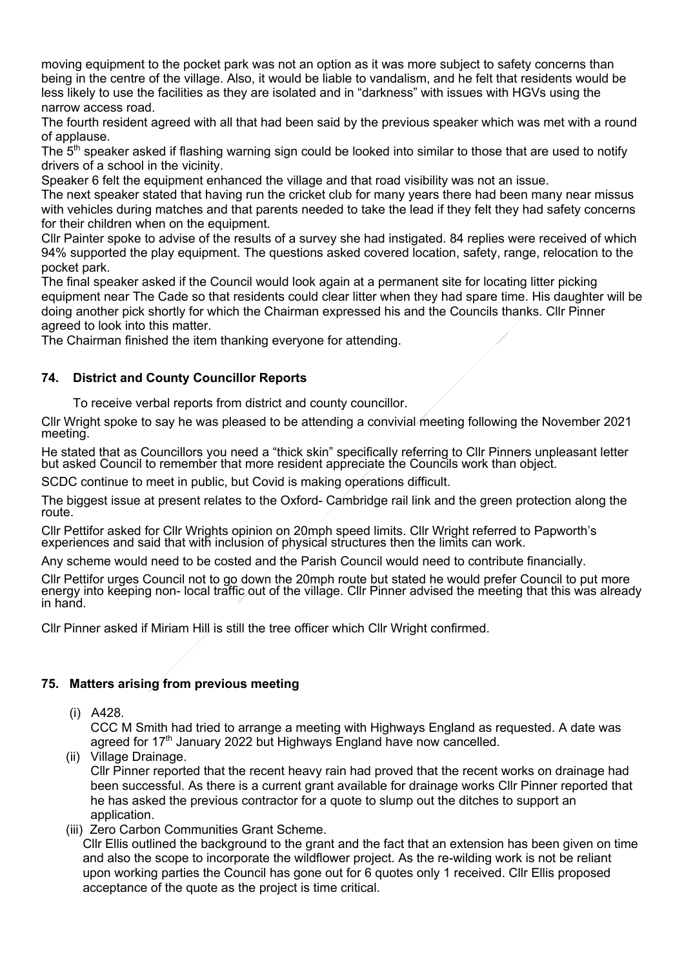moving equipment to the pocket park was not an option as it was more subject to safety concerns than being in the centre of the village. Also, it would be liable to vandalism, and he felt that residents would be less likely to use the facilities as they are isolated and in "darkness" with issues with HGVs using the narrow access road.

The fourth resident agreed with all that had been said by the previous speaker which was met with a round of applause.

The 5<sup>th</sup> speaker asked if flashing warning sign could be looked into similar to those that are used to notify drivers of a school in the vicinity.

Speaker 6 felt the equipment enhanced the village and that road visibility was not an issue.

The next speaker stated that having run the cricket club for many years there had been many near missus with vehicles during matches and that parents needed to take the lead if they felt they had safety concerns for their children when on the equipment.

Cllr Painter spoke to advise of the results of a survey she had instigated. 84 replies were received of which 94% supported the play equipment. The questions asked covered location, safety, range, relocation to the pocket park.

The final speaker asked if the Council would look again at a permanent site for locating litter picking equipment near The Cade so that residents could clear litter when they had spare time. His daughter will be doing another pick shortly for which the Chairman expressed his and the Councils thanks. Cllr Pinner agreed to look into this matter.

The Chairman finished the item thanking everyone for attending.

# **74. District and County Councillor Reports**

To receive verbal reports from district and county councillor.

Cllr Wright spoke to say he was pleased to be attending a convivial meeting following the November 2021 meeting.

He stated that as Councillors you need a "thick skin" specifically referring to Cllr Pinners unpleasant letter but asked Council to remember that more resident appreciate the Councils work than object.

SCDC continue to meet in public, but Covid is making operations difficult.

The biggest issue at present relates to the Oxford- Cambridge rail link and the green protection along the route.

Cllr Pettifor asked for Cllr Wrights opinion on 20mph speed limits. Cllr Wright referred to Papworth's experiences and said that with inclusion of physical structures then the limits can work.

Any scheme would need to be costed and the Parish Council would need to contribute financially.

Cllr Pettifor urges Council not to go down the 20mph route but stated he would prefer Council to put more energy into keeping non- local traffic out of the village. Cllr Pinner advised the meeting that this was already in hand.

Cllr Pinner asked if Miriam Hill is still the tree officer which Cllr Wright confirmed.

# **75. Matters arising from previous meeting**

# (i) A428.

 CCC M Smith had tried to arrange a meeting with Highways England as requested. A date was agreed for  $17<sup>th</sup>$  January 2022 but Highways England have now cancelled.

(ii) Village Drainage.

 Cllr Pinner reported that the recent heavy rain had proved that the recent works on drainage had been successful. As there is a current grant available for drainage works Cllr Pinner reported that he has asked the previous contractor for a quote to slump out the ditches to support an application.

(iii) Zero Carbon Communities Grant Scheme.

Cllr Ellis outlined the background to the grant and the fact that an extension has been given on time and also the scope to incorporate the wildflower project. As the re-wilding work is not be reliant upon working parties the Council has gone out for 6 quotes only 1 received. Cllr Ellis proposed acceptance of the quote as the project is time critical.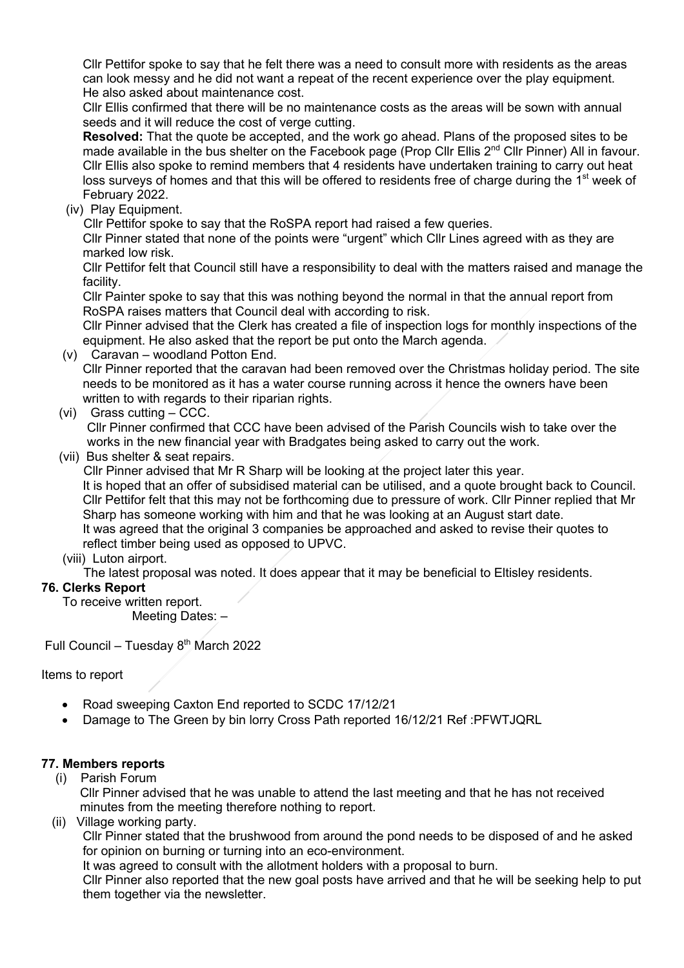Cllr Pettifor spoke to say that he felt there was a need to consult more with residents as the areas can look messy and he did not want a repeat of the recent experience over the play equipment. He also asked about maintenance cost.

Cllr Ellis confirmed that there will be no maintenance costs as the areas will be sown with annual seeds and it will reduce the cost of verge cutting.

**Resolved:** That the quote be accepted, and the work go ahead. Plans of the proposed sites to be made available in the bus shelter on the Facebook page (Prop Cllr Ellis 2<sup>nd</sup> Cllr Pinner) All in favour. Cllr Ellis also spoke to remind members that 4 residents have undertaken training to carry out heat loss surveys of homes and that this will be offered to residents free of charge during the 1<sup>st</sup> week of February 2022.

(iv) Play Equipment.

Cllr Pettifor spoke to say that the RoSPA report had raised a few queries.

Cllr Pinner stated that none of the points were "urgent" which Cllr Lines agreed with as they are marked low risk.

Cllr Pettifor felt that Council still have a responsibility to deal with the matters raised and manage the facility.

Cllr Painter spoke to say that this was nothing beyond the normal in that the annual report from RoSPA raises matters that Council deal with according to risk.

Cllr Pinner advised that the Clerk has created a file of inspection logs for monthly inspections of the equipment. He also asked that the report be put onto the March agenda.

- (v) Caravan woodland Potton End. Cllr Pinner reported that the caravan had been removed over the Christmas holiday period. The site needs to be monitored as it has a water course running across it hence the owners have been written to with regards to their riparian rights.
- (vi) Grass cutting CCC.

 Cllr Pinner confirmed that CCC have been advised of the Parish Councils wish to take over the works in the new financial year with Bradgates being asked to carry out the work.

(vii) Bus shelter & seat repairs.

Cllr Pinner advised that Mr R Sharp will be looking at the project later this year.

It is hoped that an offer of subsidised material can be utilised, and a quote brought back to Council. Cllr Pettifor felt that this may not be forthcoming due to pressure of work. Cllr Pinner replied that Mr Sharp has someone working with him and that he was looking at an August start date. It was agreed that the original 3 companies be approached and asked to revise their quotes to reflect timber being used as opposed to UPVC.

# (viii) Luton airport.

The latest proposal was noted. It does appear that it may be beneficial to Eltisley residents.

# **76. Clerks Report**

To receive written report. Meeting Dates: –

Full Council – Tuesday  $8<sup>th</sup>$  March 2022

Items to report

- Road sweeping Caxton End reported to SCDC 17/12/21
- Damage to The Green by bin lorry Cross Path reported 16/12/21 Ref :PFWTJQRL

# **77. Members reports**

(i) Parish Forum

 Cllr Pinner advised that he was unable to attend the last meeting and that he has not received minutes from the meeting therefore nothing to report.

(ii) Village working party.

Cllr Pinner stated that the brushwood from around the pond needs to be disposed of and he asked for opinion on burning or turning into an eco-environment.

It was agreed to consult with the allotment holders with a proposal to burn.

Cllr Pinner also reported that the new goal posts have arrived and that he will be seeking help to put them together via the newsletter.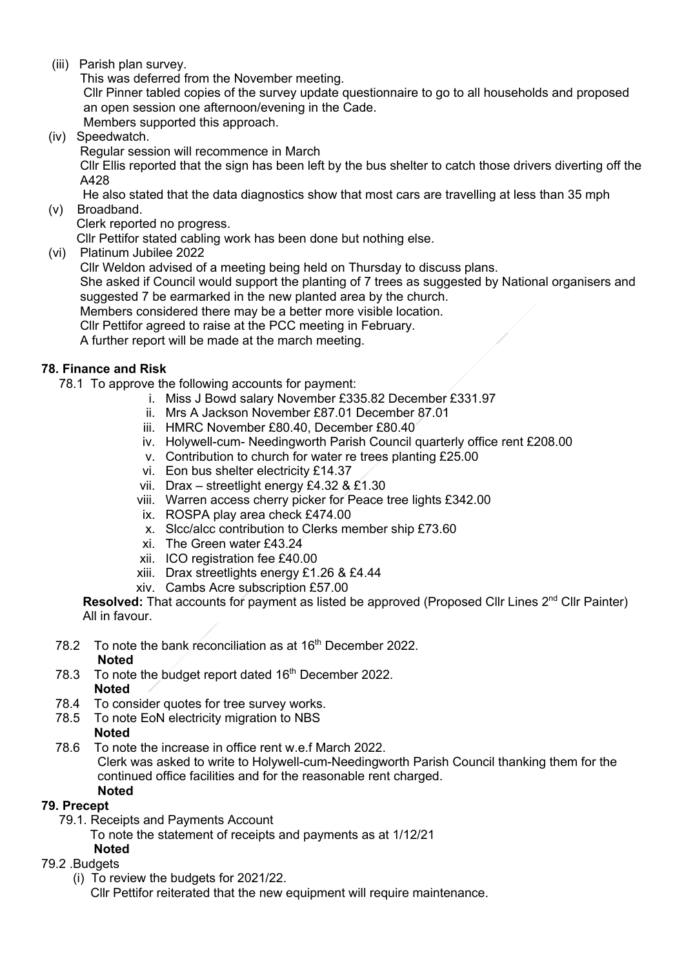(iii) Parish plan survey.

This was deferred from the November meeting.

 Cllr Pinner tabled copies of the survey update questionnaire to go to all households and proposed an open session one afternoon/evening in the Cade.

Members supported this approach.

(iv) Speedwatch.

Regular session will recommence in March

 Cllr Ellis reported that the sign has been left by the bus shelter to catch those drivers diverting off the A428

He also stated that the data diagnostics show that most cars are travelling at less than 35 mph

(v) Broadband.

Clerk reported no progress.

Cllr Pettifor stated cabling work has been done but nothing else.

(vi) Platinum Jubilee 2022

Cllr Weldon advised of a meeting being held on Thursday to discuss plans.

 She asked if Council would support the planting of 7 trees as suggested by National organisers and suggested 7 be earmarked in the new planted area by the church.

Members considered there may be a better more visible location.

Cllr Pettifor agreed to raise at the PCC meeting in February.

A further report will be made at the march meeting.

# **78. Finance and Risk**

- 78.1 To approve the following accounts for payment:
	- i. Miss J Bowd salary November £335.82 December £331.97
		- ii. Mrs A Jackson November £87.01 December 87.01
		- iii. HMRC November £80.40, December £80.40
		- iv. Holywell-cum- Needingworth Parish Council quarterly office rent £208.00
		- v. Contribution to church for water re trees planting £25.00
		- vi. Eon bus shelter electricity £14.37
		- vii. Drax streetlight energy £4.32 & £1.30
		- viii. Warren access cherry picker for Peace tree lights £342.00
		- ix. ROSPA play area check £474.00
		- x. Slcc/alcc contribution to Clerks member ship £73.60
		- xi. The Green water £43.24
		- xii. ICO registration fee £40.00
		- xiii. Drax streetlights energy £1.26 & £4.44
	- xiv. Cambs Acre subscription £57.00

**Resolved:** That accounts for payment as listed be approved (Proposed Cllr Lines 2<sup>nd</sup> Cllr Painter) All in favour.

- 78.2 To note the bank reconciliation as at 16<sup>th</sup> December 2022. **Noted**
- 78.3 To note the budget report dated  $16<sup>th</sup>$  December 2022. **Noted**
- 78.4 To consider quotes for tree survey works.
- 78.5 To note EoN electricity migration to NBS
	- **Noted**
- 78.6 To note the increase in office rent w.e.f March 2022. Clerk was asked to write to Holywell-cum-Needingworth Parish Council thanking them for the continued office facilities and for the reasonable rent charged. **Noted**

# **79. Precept**

- 79.1. Receipts and Payments Account
	- To note the statement of receipts and payments as at 1/12/21
- **Noted**

# 79.2 .Budgets

(i) To review the budgets for 2021/22.

Cllr Pettifor reiterated that the new equipment will require maintenance.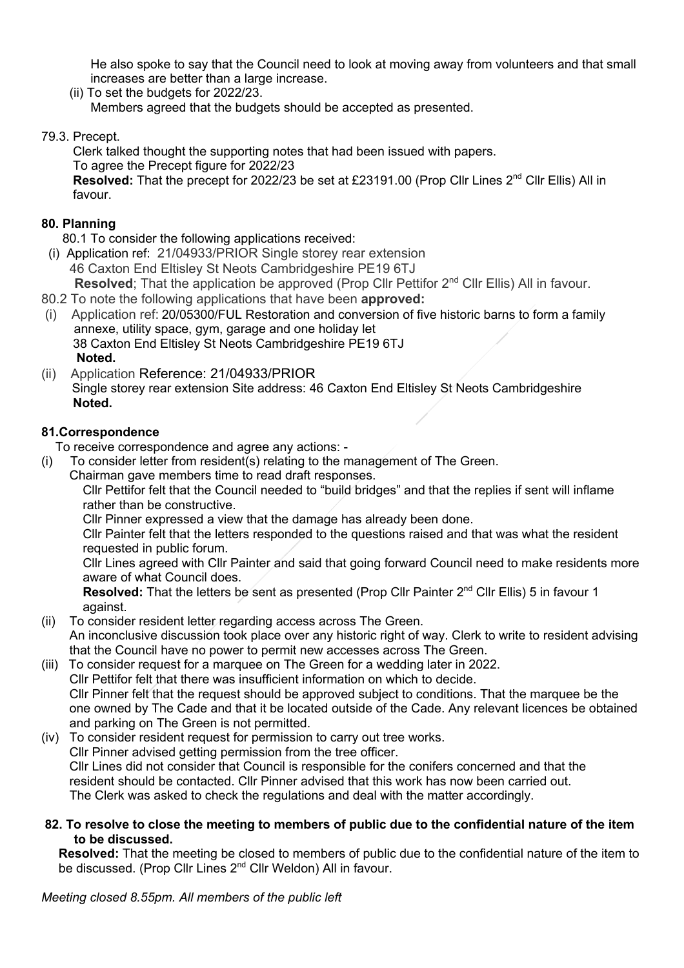He also spoke to say that the Council need to look at moving away from volunteers and that small increases are better than a large increase.

- (ii) To set the budgets for 2022/23. Members agreed that the budgets should be accepted as presented.
- 79.3. Precept.

 Clerk talked thought the supporting notes that had been issued with papers. To agree the Precept figure for 2022/23

 **Resolved:** That the precept for 2022/23 be set at £23191.00 (Prop Cllr Lines 2nd Cllr Ellis) All in favour.

# **80. Planning**

- 80.1 To consider the following applications received:
- (i) Application ref:21/04933/PRIOR Single storey rear extension 46 Caxton End Eltisley St Neots Cambridgeshire PE19 6TJ
- **Resolved**; That the application be approved (Prop Cllr Pettifor 2<sup>nd</sup> Cllr Ellis) All in favour.
- 80.2 To note the following applications that have been **approved:**
- (i) Application ref: 20/05300/FUL Restoration and conversion of five historic barns to form a family annexe, utility space, gym, garage and one holiday let 38 Caxton End Eltisley St Neots Cambridgeshire PE19 6TJ **Noted.**
- (ii) Application Reference: 21/04933/PRIOR Single storey rear extension Site address: 46 Caxton End Eltisley St Neots Cambridgeshire  **Noted.**

# **81.Correspondence**

To receive correspondence and agree any actions: -

- (i) To consider letter from resident(s) relating to the management of The Green.
	- Chairman gave members time to read draft responses.

Cllr Pettifor felt that the Council needed to "build bridges" and that the replies if sent will inflame rather than be constructive.

Cllr Pinner expressed a view that the damage has already been done.

Cllr Painter felt that the letters responded to the questions raised and that was what the resident requested in public forum.

Cllr Lines agreed with Cllr Painter and said that going forward Council need to make residents more aware of what Council does.

**Resolved:** That the letters be sent as presented (Prop Cllr Painter 2<sup>nd</sup> Cllr Ellis) 5 in favour 1 against.

- (ii) To consider resident letter regarding access across The Green.
- An inconclusive discussion took place over any historic right of way. Clerk to write to resident advising that the Council have no power to permit new accesses across The Green.
- (iii) To consider request for a marquee on The Green for a wedding later in 2022. Cllr Pettifor felt that there was insufficient information on which to decide. Cllr Pinner felt that the request should be approved subject to conditions. That the marquee be the one owned by The Cade and that it be located outside of the Cade. Any relevant licences be obtained and parking on The Green is not permitted.
- (iv) To consider resident request for permission to carry out tree works. Cllr Pinner advised getting permission from the tree officer. Cllr Lines did not consider that Council is responsible for the conifers concerned and that the resident should be contacted. Cllr Pinner advised that this work has now been carried out. The Clerk was asked to check the regulations and deal with the matter accordingly.
- **82. To resolve to close the meeting to members of public due to the confidential nature of the item to be discussed.**

**Resolved:** That the meeting be closed to members of public due to the confidential nature of the item to be discussed. (Prop Cllr Lines 2<sup>nd</sup> Cllr Weldon) All in favour.